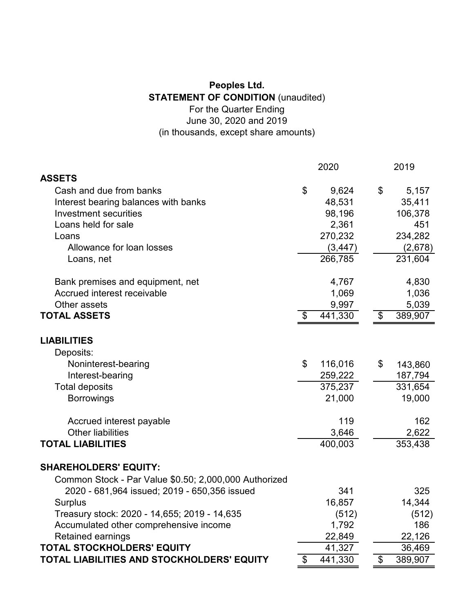## **Peoples Ltd. STATEMENT OF CONDITION** (unaudited) For the Quarter Ending June 30, 2020 and 2019 (in thousands, except share amounts)

|                                                       |                           | 2020     |                            | 2019    |
|-------------------------------------------------------|---------------------------|----------|----------------------------|---------|
| <b>ASSETS</b>                                         |                           |          |                            |         |
| Cash and due from banks                               | \$                        | 9,624    | \$                         | 5,157   |
| Interest bearing balances with banks                  |                           | 48,531   |                            | 35,411  |
| <b>Investment securities</b>                          |                           | 98,196   |                            | 106,378 |
| Loans held for sale                                   |                           | 2,361    |                            | 451     |
| Loans                                                 |                           | 270,232  |                            | 234,282 |
| Allowance for loan losses                             |                           | (3, 447) |                            | (2,678) |
| Loans, net                                            |                           | 266,785  |                            | 231,604 |
| Bank premises and equipment, net                      |                           | 4,767    |                            | 4,830   |
| Accrued interest receivable                           |                           | 1,069    |                            | 1,036   |
| Other assets                                          |                           | 9,997    |                            | 5,039   |
| <b>TOTAL ASSETS</b>                                   | \$                        | 441,330  | \$                         | 389,907 |
| <b>LIABILITIES</b>                                    |                           |          |                            |         |
| Deposits:                                             |                           |          |                            |         |
| Noninterest-bearing                                   | \$                        | 116,016  | \$                         | 143,860 |
| Interest-bearing                                      |                           | 259,222  |                            | 187,794 |
| <b>Total deposits</b>                                 |                           | 375,237  |                            | 331,654 |
| <b>Borrowings</b>                                     |                           | 21,000   |                            | 19,000  |
| Accrued interest payable                              |                           | 119      |                            | 162     |
| <b>Other liabilities</b>                              |                           | 3,646    |                            | 2,622   |
| <b>TOTAL LIABILITIES</b>                              |                           | 400,003  |                            | 353,438 |
| <b>SHAREHOLDERS' EQUITY:</b>                          |                           |          |                            |         |
| Common Stock - Par Value \$0.50; 2,000,000 Authorized |                           |          |                            |         |
| 2020 - 681,964 issued; 2019 - 650,356 issued          |                           | 341      |                            | 325     |
| <b>Surplus</b>                                        |                           | 16,857   |                            | 14,344  |
| Treasury stock: 2020 - 14,655; 2019 - 14,635          |                           | (512)    |                            | (512)   |
| Accumulated other comprehensive income                |                           | 1,792    |                            | 186     |
| <b>Retained earnings</b>                              |                           | 22,849   |                            | 22,126  |
| <b>TOTAL STOCKHOLDERS' EQUITY</b>                     |                           | 41,327   |                            | 36,469  |
| TOTAL LIABILITIES AND STOCKHOLDERS' EQUITY            | $\boldsymbol{\mathsf{S}}$ | 441,330  | $\boldsymbol{\mathsf{\$}}$ | 389,907 |